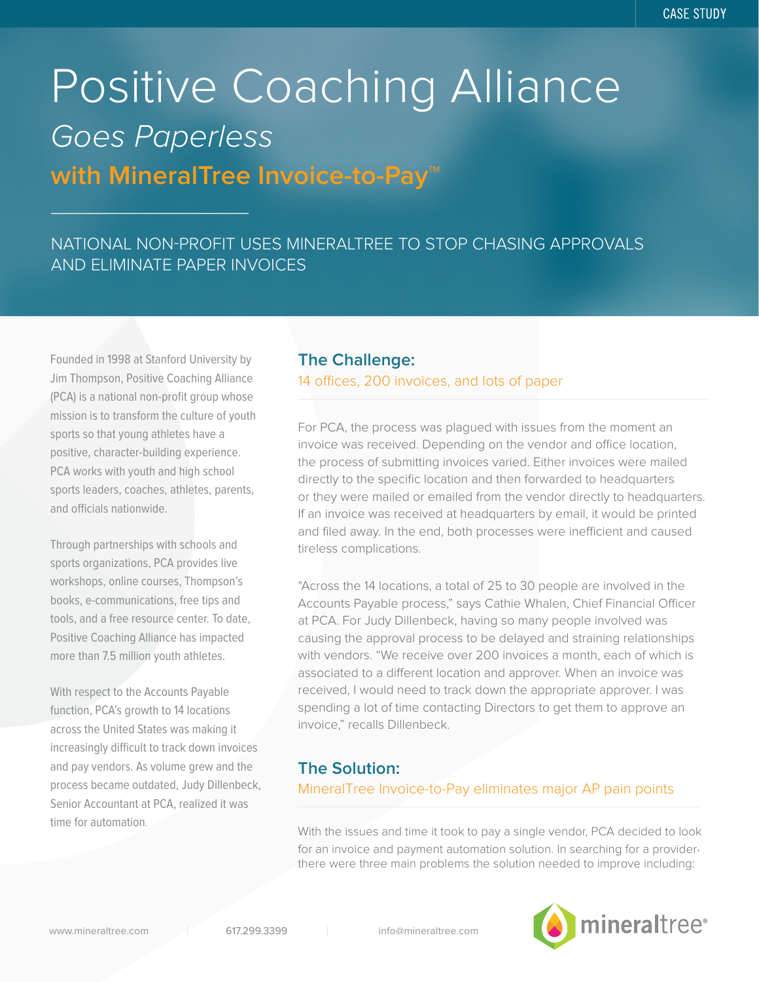# **with MineralTree Invoice-to-Pay™** Positive Coaching Alliance Goes Paperless

# NATIONAL NON-PROFIT USES MINERALTREE TO STOP CHASING APPROVALS AND ELIMINATE PAPER INVOICES

Founded in 1998 at Stanford University by Jim Thompson, Positive Coaching Alliance (PCA) is a national non-profit group whose mission is to transform the culture of youth sports so that young athletes have a positive, character-building experience. PCA works with youth and high school sports leaders, coaches, athletes, parents, and officials nationwide.

Through partnerships with schools and sports organizations, PCA provides live workshops, online courses, Thompson's books, e-communications, free tips and tools, and a free resource center. To date, Positive Coaching Alliance has impacted more than 7.5 million youth athletes.

With respect to the Accounts Payable function, PCA's growth to 14 locations across the United States was making it increasingly difficult to track down invoices and pay vendors. As volume grew and the process became outdated, Judy Dillenbeck, Senior Accountant at PCA, realized it was time for automation.

### **The Challenge:**

#### 14 offices, 200 invoices, and lots of paper

For PCA, the process was plagued with issues from the moment an invoice was received. Depending on the vendor and office location, the process of submitting invoices varied. Either invoices were mailed directly to the specific location and then forwarded to headquarters or they were mailed or emailed from the vendor directly to headquarters. If an invoice was received at headquarters by email, it would be printed and filed away. In the end, both processes were inefficient and caused tireless complications.

"Across the 14 locations, a total of 25 to 30 people are involved in the Accounts Payable process," says Cathie Whalen, Chief Financial Officer at PCA. For Judy Dillenbeck, having so many people involved was causing the approval process to be delayed and straining relationships with vendors. "We receive over 200 invoices a month, each of which is associated to a different location and approver. When an invoice was received, I would need to track down the appropriate approver. I was spending a lot of time contacting Directors to get them to approve an invoice," recalls Dillenbeck.

## **The Solution:**

#### MineralTree Invoice-to-Pay eliminates major AP pain points

With the issues and time it took to pay a single vendor, PCA decided to look for an invoice and payment automation solution. In searching for a provider, there were three main problems the solution needed to improve including: